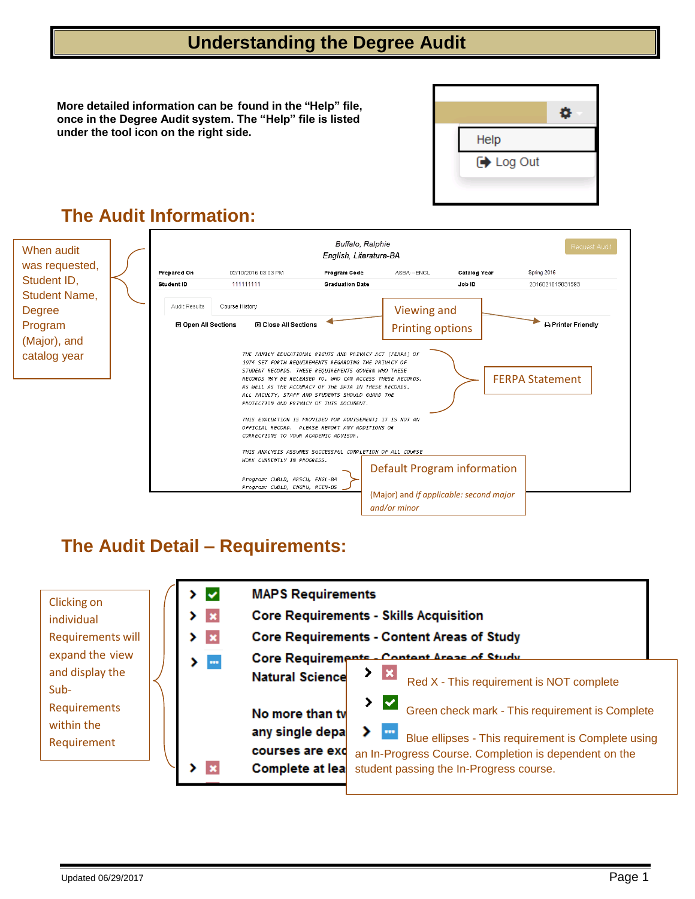## **Understanding the Degree Audit**

**More detailed information can be found in the "Help" file, once in the Degree Audit system. The "Help" file is listed under the tool icon on the right side.**



# **The Audit Information:**



## **The Audit Detail – Requirements:**

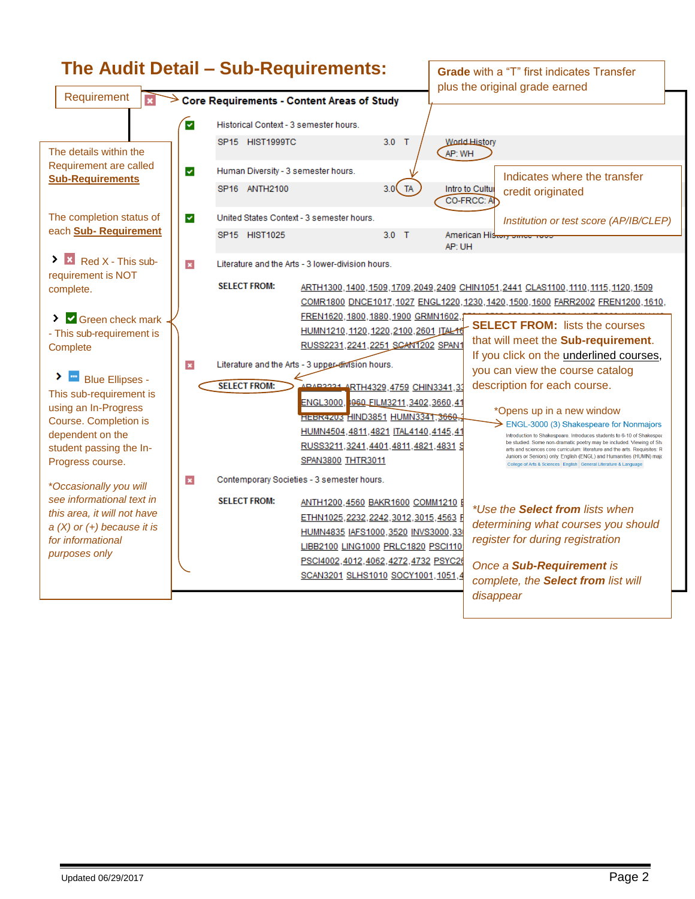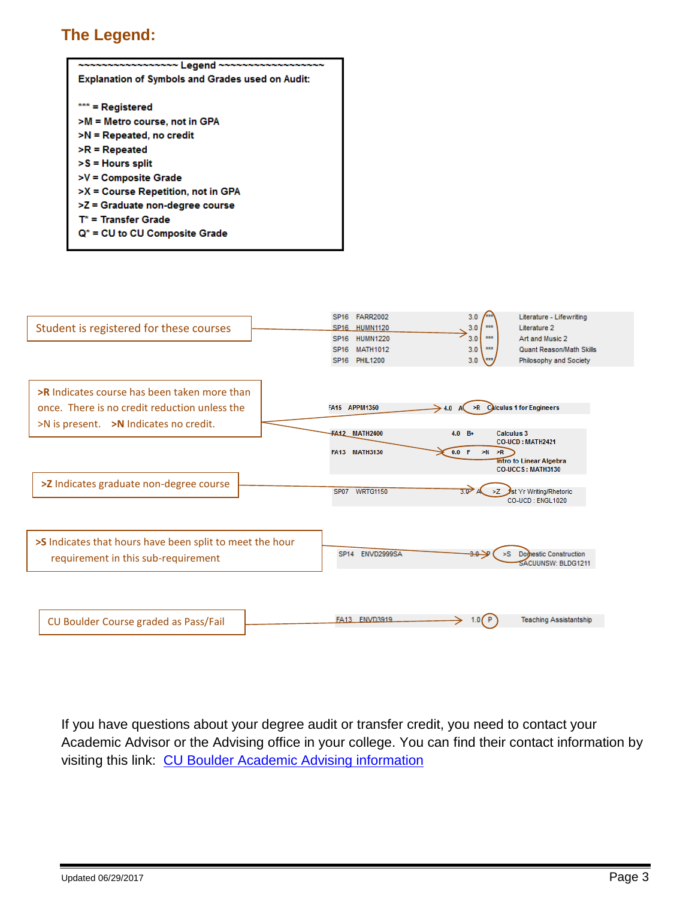### **The Legend:**

| <b>Explanation of Symbols and Grades used on Audit:</b> |  |  |  |  |  |  |
|---------------------------------------------------------|--|--|--|--|--|--|
|                                                         |  |  |  |  |  |  |
| *** = Registered                                        |  |  |  |  |  |  |
| >M = Metro course, not in GPA                           |  |  |  |  |  |  |
| >N = Repeated, no credit                                |  |  |  |  |  |  |
| $\triangleright$ R = Repeated                           |  |  |  |  |  |  |
| $> S =$ Hours split                                     |  |  |  |  |  |  |
| >V = Composite Grade                                    |  |  |  |  |  |  |
| >X = Course Repetition, not in GPA                      |  |  |  |  |  |  |
| >Z = Graduate non-degree course                         |  |  |  |  |  |  |
| $T^*$ = Transfer Grade                                  |  |  |  |  |  |  |
| $Q^*$ = CU to CU Composite Grade                        |  |  |  |  |  |  |
|                                                         |  |  |  |  |  |  |



If you have questions about your degree audit or transfer credit, you need to contact your Academic Advisor or the Advising office in your college. You can find their contact information by visiting this link: [CU Boulder Academic Advising information](http://www.colorado.edu/academics/academic-advising)